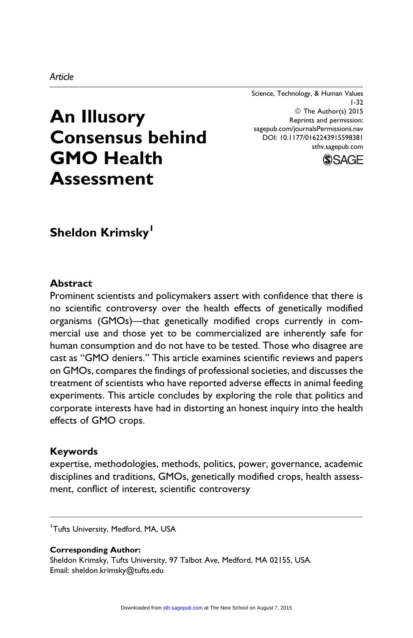Science, Technology, & Human Values 1-32 © The Author(s) 2015 Reprints and permission: [sagepub.com/journalsPermissions.nav](http://www.sagepub.com/journalsPermissions.nav) DOI: 10.1177/0162243915598381 [sthv.sagepub.com](http://sthv.sagepub.com)



# An Illusory Consensus behind GMO Health Assessment

## Sheldon Krimsky<sup>1</sup>

## Abstract

Prominent scientists and policymakers assert with confidence that there is no scientific controversy over the health effects of genetically modified organisms (GMOs)—that genetically modified crops currently in commercial use and those yet to be commercialized are inherently safe for human consumption and do not have to be tested. Those who disagree are cast as ''GMO deniers.'' This article examines scientific reviews and papers on GMOs, compares the findings of professional societies, and discusses the treatment of scientists who have reported adverse effects in animal feeding experiments. This article concludes by exploring the role that politics and corporate interests have had in distorting an honest inquiry into the health effects of GMO crops.

## Keywords

expertise, methodologies, methods, politics, power, governance, academic disciplines and traditions, GMOs, genetically modified crops, health assessment, conflict of interest, scientific controversy

#### Corresponding Author:

Sheldon Krimsky, Tufts University, 97 Talbot Ave, Medford, MA 02155, USA. Email: sheldon.krimsky@tufts.edu

<sup>1</sup> Tufts University, Medford, MA, USA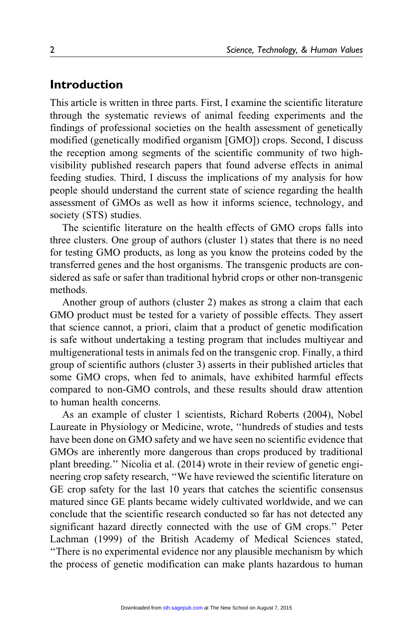## Introduction

This article is written in three parts. First, I examine the scientific literature through the systematic reviews of animal feeding experiments and the findings of professional societies on the health assessment of genetically modified (genetically modified organism [GMO]) crops. Second, I discuss the reception among segments of the scientific community of two highvisibility published research papers that found adverse effects in animal feeding studies. Third, I discuss the implications of my analysis for how people should understand the current state of science regarding the health assessment of GMOs as well as how it informs science, technology, and society (STS) studies.

The scientific literature on the health effects of GMO crops falls into three clusters. One group of authors (cluster 1) states that there is no need for testing GMO products, as long as you know the proteins coded by the transferred genes and the host organisms. The transgenic products are considered as safe or safer than traditional hybrid crops or other non-transgenic methods.

Another group of authors (cluster 2) makes as strong a claim that each GMO product must be tested for a variety of possible effects. They assert that science cannot, a priori, claim that a product of genetic modification is safe without undertaking a testing program that includes multiyear and multigenerational tests in animals fed on the transgenic crop. Finally, a third group of scientific authors (cluster 3) asserts in their published articles that some GMO crops, when fed to animals, have exhibited harmful effects compared to non-GMO controls, and these results should draw attention to human health concerns.

As an example of cluster 1 scientists, Richard Roberts (2004), Nobel Laureate in Physiology or Medicine, wrote, ''hundreds of studies and tests have been done on GMO safety and we have seen no scientific evidence that GMOs are inherently more dangerous than crops produced by traditional plant breeding.'' Nicolia et al. (2014) wrote in their review of genetic engineering crop safety research, ''We have reviewed the scientific literature on GE crop safety for the last 10 years that catches the scientific consensus matured since GE plants became widely cultivated worldwide, and we can conclude that the scientific research conducted so far has not detected any significant hazard directly connected with the use of GM crops.'' Peter Lachman (1999) of the British Academy of Medical Sciences stated, ''There is no experimental evidence nor any plausible mechanism by which the process of genetic modification can make plants hazardous to human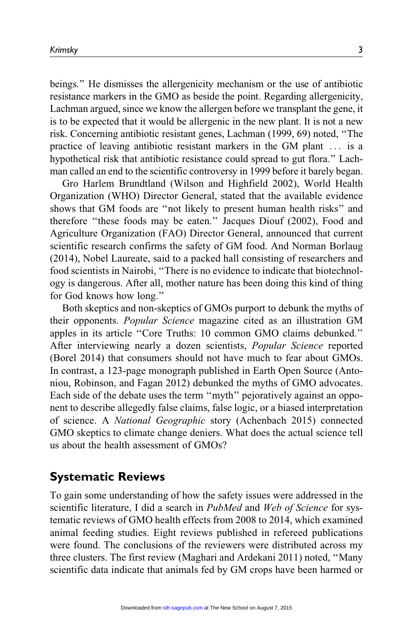beings.'' He dismisses the allergenicity mechanism or the use of antibiotic resistance markers in the GMO as beside the point. Regarding allergenicity, Lachman argued, since we know the allergen before we transplant the gene, it is to be expected that it would be allergenic in the new plant. It is not a new risk. Concerning antibiotic resistant genes, Lachman (1999, 69) noted, ''The practice of leaving antibiotic resistant markers in the GM plant ... is a hypothetical risk that antibiotic resistance could spread to gut flora.'' Lachman called an end to the scientific controversy in 1999 before it barely began.

Gro Harlem Brundtland (Wilson and Highfield 2002), World Health Organization (WHO) Director General, stated that the available evidence shows that GM foods are ''not likely to present human health risks'' and therefore ''these foods may be eaten.'' Jacques Diouf (2002), Food and Agriculture Organization (FAO) Director General, announced that current scientific research confirms the safety of GM food. And Norman Borlaug (2014), Nobel Laureate, said to a packed hall consisting of researchers and food scientists in Nairobi, ''There is no evidence to indicate that biotechnology is dangerous. After all, mother nature has been doing this kind of thing for God knows how long.''

Both skeptics and non-skeptics of GMOs purport to debunk the myths of their opponents. Popular Science magazine cited as an illustration GM apples in its article ''Core Truths: 10 common GMO claims debunked.'' After interviewing nearly a dozen scientists, Popular Science reported (Borel 2014) that consumers should not have much to fear about GMOs. In contrast, a 123-page monograph published in Earth Open Source (Antoniou, Robinson, and Fagan 2012) debunked the myths of GMO advocates. Each side of the debate uses the term ''myth'' pejoratively against an opponent to describe allegedly false claims, false logic, or a biased interpretation of science. A National Geographic story (Achenbach 2015) connected GMO skeptics to climate change deniers. What does the actual science tell us about the health assessment of GMOs?

## Systematic Reviews

To gain some understanding of how the safety issues were addressed in the scientific literature, I did a search in PubMed and Web of Science for systematic reviews of GMO health effects from 2008 to 2014, which examined animal feeding studies. Eight reviews published in refereed publications were found. The conclusions of the reviewers were distributed across my three clusters. The first review (Maghari and Ardekani 2011) noted, ''Many scientific data indicate that animals fed by GM crops have been harmed or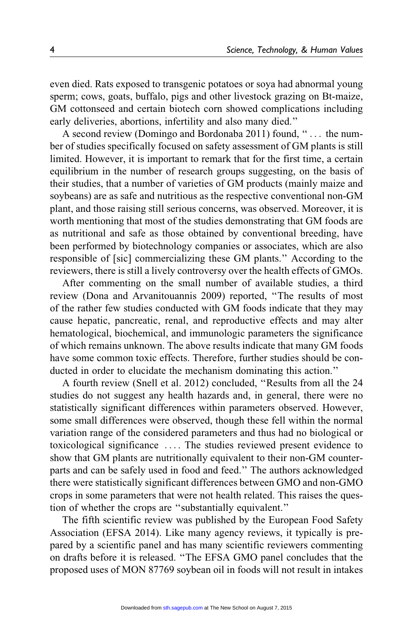even died. Rats exposed to transgenic potatoes or soya had abnormal young sperm; cows, goats, buffalo, pigs and other livestock grazing on Bt-maize, GM cottonseed and certain biotech corn showed complications including early deliveries, abortions, infertility and also many died.''

A second review (Domingo and Bordonaba 2011) found, ''... the number of studies specifically focused on safety assessment of GM plants is still limited. However, it is important to remark that for the first time, a certain equilibrium in the number of research groups suggesting, on the basis of their studies, that a number of varieties of GM products (mainly maize and soybeans) are as safe and nutritious as the respective conventional non-GM plant, and those raising still serious concerns, was observed. Moreover, it is worth mentioning that most of the studies demonstrating that GM foods are as nutritional and safe as those obtained by conventional breeding, have been performed by biotechnology companies or associates, which are also responsible of [sic] commercializing these GM plants.'' According to the reviewers, there is still a lively controversy over the health effects of GMOs.

After commenting on the small number of available studies, a third review (Dona and Arvanitouannis 2009) reported, ''The results of most of the rather few studies conducted with GM foods indicate that they may cause hepatic, pancreatic, renal, and reproductive effects and may alter hematological, biochemical, and immunologic parameters the significance of which remains unknown. The above results indicate that many GM foods have some common toxic effects. Therefore, further studies should be conducted in order to elucidate the mechanism dominating this action.''

A fourth review (Snell et al. 2012) concluded, ''Results from all the 24 studies do not suggest any health hazards and, in general, there were no statistically significant differences within parameters observed. However, some small differences were observed, though these fell within the normal variation range of the considered parameters and thus had no biological or toxicological significance ... . The studies reviewed present evidence to show that GM plants are nutritionally equivalent to their non-GM counterparts and can be safely used in food and feed.'' The authors acknowledged there were statistically significant differences between GMO and non-GMO crops in some parameters that were not health related. This raises the question of whether the crops are ''substantially equivalent.''

The fifth scientific review was published by the European Food Safety Association (EFSA 2014). Like many agency reviews, it typically is prepared by a scientific panel and has many scientific reviewers commenting on drafts before it is released. ''The EFSA GMO panel concludes that the proposed uses of MON 87769 soybean oil in foods will not result in intakes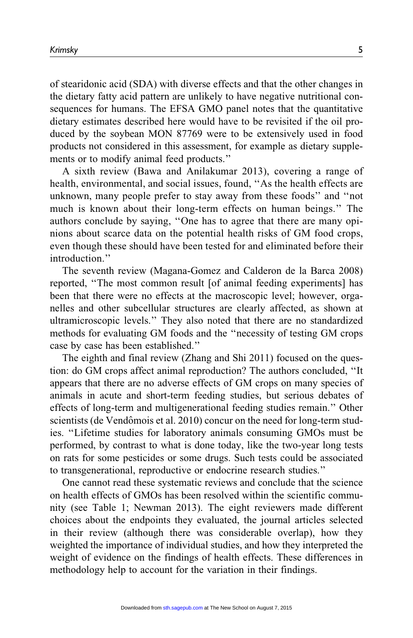of stearidonic acid (SDA) with diverse effects and that the other changes in the dietary fatty acid pattern are unlikely to have negative nutritional consequences for humans. The EFSA GMO panel notes that the quantitative dietary estimates described here would have to be revisited if the oil produced by the soybean MON 87769 were to be extensively used in food products not considered in this assessment, for example as dietary supplements or to modify animal feed products.''

A sixth review (Bawa and Anilakumar 2013), covering a range of health, environmental, and social issues, found, ''As the health effects are unknown, many people prefer to stay away from these foods'' and ''not much is known about their long-term effects on human beings.'' The authors conclude by saying, ''One has to agree that there are many opinions about scarce data on the potential health risks of GM food crops, even though these should have been tested for and eliminated before their introduction.''

The seventh review (Magana-Gomez and Calderon de la Barca 2008) reported, ''The most common result [of animal feeding experiments] has been that there were no effects at the macroscopic level; however, organelles and other subcellular structures are clearly affected, as shown at ultramicroscopic levels.'' They also noted that there are no standardized methods for evaluating GM foods and the ''necessity of testing GM crops case by case has been established.''

The eighth and final review (Zhang and Shi 2011) focused on the question: do GM crops affect animal reproduction? The authors concluded, ''It appears that there are no adverse effects of GM crops on many species of animals in acute and short-term feeding studies, but serious debates of effects of long-term and multigenerational feeding studies remain.'' Other scientists (de Vendômois et al. 2010) concur on the need for long-term studies. ''Lifetime studies for laboratory animals consuming GMOs must be performed, by contrast to what is done today, like the two-year long tests on rats for some pesticides or some drugs. Such tests could be associated to transgenerational, reproductive or endocrine research studies.''

One cannot read these systematic reviews and conclude that the science on health effects of GMOs has been resolved within the scientific community (see Table 1; Newman 2013). The eight reviewers made different choices about the endpoints they evaluated, the journal articles selected in their review (although there was considerable overlap), how they weighted the importance of individual studies, and how they interpreted the weight of evidence on the findings of health effects. These differences in methodology help to account for the variation in their findings.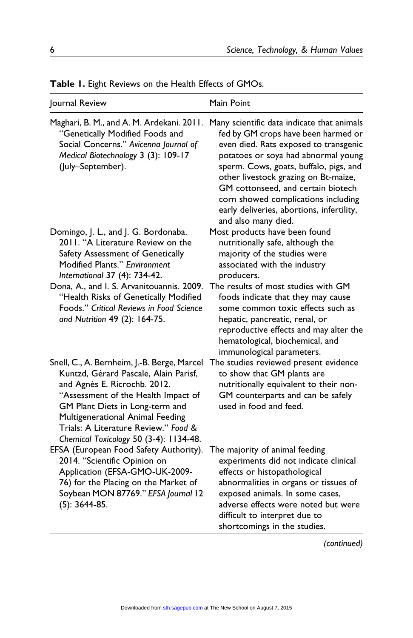| Journal Review                                                                                                                                                                                                                                                                                                       | Main Point                                                                                                                                                                                                                                                                                                                                                                                           |
|----------------------------------------------------------------------------------------------------------------------------------------------------------------------------------------------------------------------------------------------------------------------------------------------------------------------|------------------------------------------------------------------------------------------------------------------------------------------------------------------------------------------------------------------------------------------------------------------------------------------------------------------------------------------------------------------------------------------------------|
| Maghari, B. M., and A. M. Ardekani. 2011.<br>"Genetically Modified Foods and<br>Social Concerns." Avicenna Journal of<br>Medical Biotechnology 3 (3): 109-17<br>(July-September).                                                                                                                                    | Many scientific data indicate that animals<br>fed by GM crops have been harmed or<br>even died. Rats exposed to transgenic<br>potatoes or soya had abnormal young<br>sperm. Cows, goats, buffalo, pigs, and<br>other livestock grazing on Bt-maize,<br>GM cottonseed, and certain biotech<br>corn showed complications including<br>early deliveries, abortions, infertility,<br>and also many died. |
| Domingo, J. L., and J. G. Bordonaba.<br>2011. "A Literature Review on the<br>Safety Assessment of Genetically<br>Modified Plants." Environment<br>International 37 (4): 734-42.                                                                                                                                      | Most products have been found<br>nutritionally safe, although the<br>majority of the studies were<br>associated with the industry<br>producers.                                                                                                                                                                                                                                                      |
| Dona, A., and I. S. Arvanitouannis. 2009.<br>"Health Risks of Genetically Modified<br>Foods." Critical Reviews in Food Science<br>and Nutrition 49 (2): 164-75.                                                                                                                                                      | The results of most studies with GM<br>foods indicate that they may cause<br>some common toxic effects such as<br>hepatic, pancreatic, renal, or<br>reproductive effects and may alter the<br>hematological, biochemical, and<br>immunological parameters.                                                                                                                                           |
| Snell, C., A. Bernheim, J.-B. Berge, Marcel<br>Kuntzd, Gérard Pascale, Alain Parisf,<br>and Agnès E. Ricrochb. 2012.<br>"Assessment of the Health Impact of<br>GM Plant Diets in Long-term and<br>Multigenerational Animal Feeding<br>Trials: A Literature Review." Food &<br>Chemical Toxicology 50 (3-4): 1134-48. | The studies reviewed present evidence<br>to show that GM plants are<br>nutritionally equivalent to their non-<br>GM counterparts and can be safely<br>used in food and feed.                                                                                                                                                                                                                         |
| EFSA (European Food Safety Authority).<br>2014. "Scientific Opinion on<br>Application (EFSA-GMO-UK-2009-<br>76) for the Placing on the Market of<br>Soybean MON 87769." EFSA Journal 12<br>$(5): 3644-85.$                                                                                                           | The majority of animal feeding<br>experiments did not indicate clinical<br>effects or histopathological<br>abnormalities in organs or tissues of<br>exposed animals. In some cases,<br>adverse effects were noted but were<br>difficult to interpret due to<br>shortcomings in the studies.                                                                                                          |

Table 1. Eight Reviews on the Health Effects of GMOs.

(continued)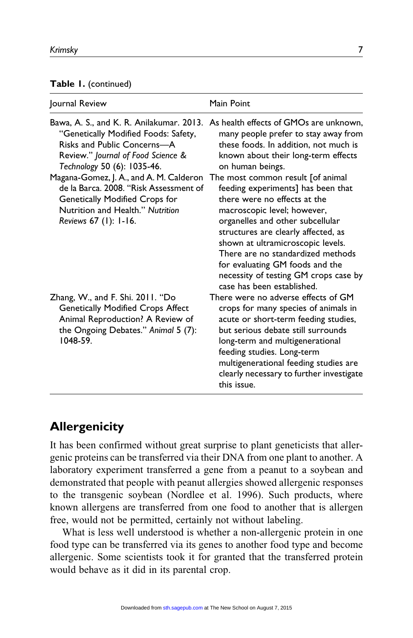#### Table 1. (continued)

| Journal Review                                                                                                                                                                       | Main Point                                                                                                                                                                                                                                                                                                                                                                                            |
|--------------------------------------------------------------------------------------------------------------------------------------------------------------------------------------|-------------------------------------------------------------------------------------------------------------------------------------------------------------------------------------------------------------------------------------------------------------------------------------------------------------------------------------------------------------------------------------------------------|
| Bawa, A. S., and K. R. Anilakumar. 2013.<br>"Genetically Modified Foods: Safety,<br>Risks and Public Concerns-A<br>Review." Journal of Food Science &<br>Technology 50 (6): 1035-46. | As health effects of GMOs are unknown.<br>many people prefer to stay away from<br>these foods. In addition, not much is<br>known about their long-term effects<br>on human beings.                                                                                                                                                                                                                    |
| Magana-Gomez, J. A., and A. M. Calderon<br>de la Barca, 2008. "Risk Assessment of<br>Genetically Modified Crops for<br>Nutrition and Health." Nutrition<br>Reviews 67 (1): 1-16.     | The most common result [of animal<br>feeding experiments] has been that<br>there were no effects at the<br>macroscopic level; however,<br>organelles and other subcellular<br>structures are clearly affected, as<br>shown at ultramicroscopic levels.<br>There are no standardized methods<br>for evaluating GM foods and the<br>necessity of testing GM crops case by<br>case has been established. |
| Zhang, W., and F. Shi. 2011. "Do<br><b>Genetically Modified Crops Affect</b><br>Animal Reproduction? A Review of<br>the Ongoing Debates." Animal 5 (7):<br>1048-59.                  | There were no adverse effects of GM<br>crops for many species of animals in<br>acute or short-term feeding studies,<br>but serious debate still surrounds<br>long-term and multigenerational<br>feeding studies. Long-term<br>multigenerational feeding studies are<br>clearly necessary to further investigate<br>this issue.                                                                        |

## **Allergenicity**

It has been confirmed without great surprise to plant geneticists that allergenic proteins can be transferred via their DNA from one plant to another. A laboratory experiment transferred a gene from a peanut to a soybean and demonstrated that people with peanut allergies showed allergenic responses to the transgenic soybean (Nordlee et al. 1996). Such products, where known allergens are transferred from one food to another that is allergen free, would not be permitted, certainly not without labeling.

What is less well understood is whether a non-allergenic protein in one food type can be transferred via its genes to another food type and become allergenic. Some scientists took it for granted that the transferred protein would behave as it did in its parental crop.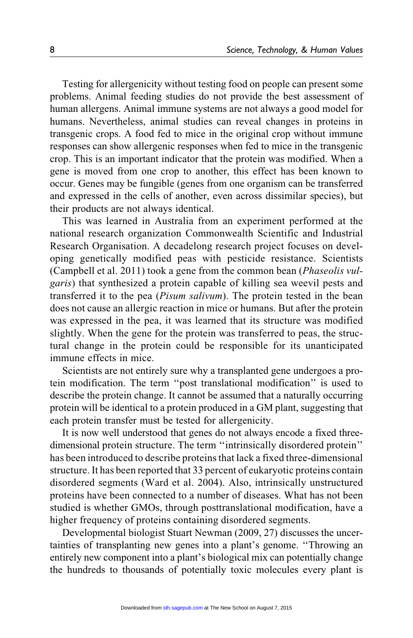Testing for allergenicity without testing food on people can present some problems. Animal feeding studies do not provide the best assessment of human allergens. Animal immune systems are not always a good model for humans. Nevertheless, animal studies can reveal changes in proteins in transgenic crops. A food fed to mice in the original crop without immune responses can show allergenic responses when fed to mice in the transgenic crop. This is an important indicator that the protein was modified. When a gene is moved from one crop to another, this effect has been known to occur. Genes may be fungible (genes from one organism can be transferred and expressed in the cells of another, even across dissimilar species), but their products are not always identical.

This was learned in Australia from an experiment performed at the national research organization Commonwealth Scientific and Industrial Research Organisation. A decadelong research project focuses on developing genetically modified peas with pesticide resistance. Scientists (Campbell et al. 2011) took a gene from the common bean (Phaseolis vulgaris) that synthesized a protein capable of killing sea weevil pests and transferred it to the pea (Pisum salivum). The protein tested in the bean does not cause an allergic reaction in mice or humans. But after the protein was expressed in the pea, it was learned that its structure was modified slightly. When the gene for the protein was transferred to peas, the structural change in the protein could be responsible for its unanticipated immune effects in mice.

Scientists are not entirely sure why a transplanted gene undergoes a protein modification. The term ''post translational modification'' is used to describe the protein change. It cannot be assumed that a naturally occurring protein will be identical to a protein produced in a GM plant, suggesting that each protein transfer must be tested for allergenicity.

It is now well understood that genes do not always encode a fixed threedimensional protein structure. The term ''intrinsically disordered protein'' has been introduced to describe proteins that lack a fixed three-dimensional structure. It has been reported that 33 percent of eukaryotic proteins contain disordered segments (Ward et al. 2004). Also, intrinsically unstructured proteins have been connected to a number of diseases. What has not been studied is whether GMOs, through posttranslational modification, have a higher frequency of proteins containing disordered segments.

Developmental biologist Stuart Newman (2009, 27) discusses the uncertainties of transplanting new genes into a plant's genome. ''Throwing an entirely new component into a plant's biological mix can potentially change the hundreds to thousands of potentially toxic molecules every plant is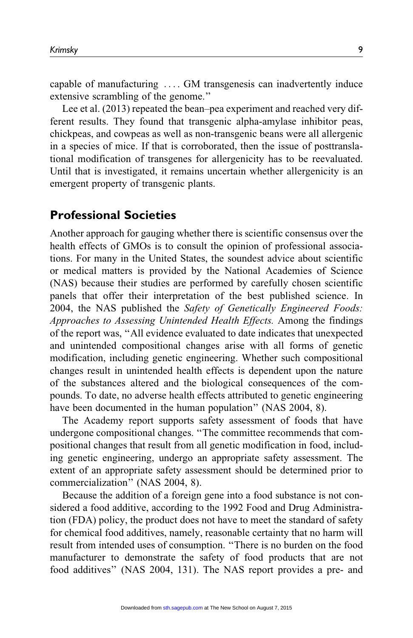capable of manufacturing ... . GM transgenesis can inadvertently induce extensive scrambling of the genome.''

Lee et al. (2013) repeated the bean–pea experiment and reached very different results. They found that transgenic alpha-amylase inhibitor peas, chickpeas, and cowpeas as well as non-transgenic beans were all allergenic in a species of mice. If that is corroborated, then the issue of posttranslational modification of transgenes for allergenicity has to be reevaluated. Until that is investigated, it remains uncertain whether allergenicity is an emergent property of transgenic plants.

## Professional Societies

Another approach for gauging whether there is scientific consensus over the health effects of GMOs is to consult the opinion of professional associations. For many in the United States, the soundest advice about scientific or medical matters is provided by the National Academies of Science (NAS) because their studies are performed by carefully chosen scientific panels that offer their interpretation of the best published science. In 2004, the NAS published the Safety of Genetically Engineered Foods: Approaches to Assessing Unintended Health Effects. Among the findings of the report was, ''All evidence evaluated to date indicates that unexpected and unintended compositional changes arise with all forms of genetic modification, including genetic engineering. Whether such compositional changes result in unintended health effects is dependent upon the nature of the substances altered and the biological consequences of the compounds. To date, no adverse health effects attributed to genetic engineering have been documented in the human population" (NAS 2004, 8).

The Academy report supports safety assessment of foods that have undergone compositional changes. ''The committee recommends that compositional changes that result from all genetic modification in food, including genetic engineering, undergo an appropriate safety assessment. The extent of an appropriate safety assessment should be determined prior to commercialization'' (NAS 2004, 8).

Because the addition of a foreign gene into a food substance is not considered a food additive, according to the 1992 Food and Drug Administration (FDA) policy, the product does not have to meet the standard of safety for chemical food additives, namely, reasonable certainty that no harm will result from intended uses of consumption. ''There is no burden on the food manufacturer to demonstrate the safety of food products that are not food additives'' (NAS 2004, 131). The NAS report provides a pre- and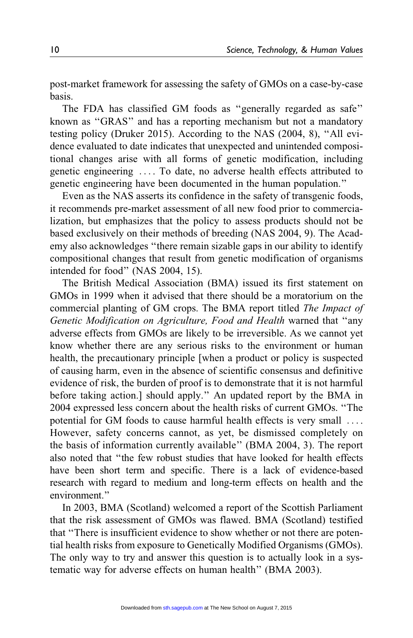post-market framework for assessing the safety of GMOs on a case-by-case basis.

The FDA has classified GM foods as ''generally regarded as safe'' known as ''GRAS'' and has a reporting mechanism but not a mandatory testing policy (Druker 2015). According to the NAS (2004, 8), ''All evidence evaluated to date indicates that unexpected and unintended compositional changes arise with all forms of genetic modification, including genetic engineering ... . To date, no adverse health effects attributed to genetic engineering have been documented in the human population.''

Even as the NAS asserts its confidence in the safety of transgenic foods, it recommends pre-market assessment of all new food prior to commercialization, but emphasizes that the policy to assess products should not be based exclusively on their methods of breeding (NAS 2004, 9). The Academy also acknowledges ''there remain sizable gaps in our ability to identify compositional changes that result from genetic modification of organisms intended for food'' (NAS 2004, 15).

The British Medical Association (BMA) issued its first statement on GMOs in 1999 when it advised that there should be a moratorium on the commercial planting of GM crops. The BMA report titled The Impact of Genetic Modification on Agriculture, Food and Health warned that ''any adverse effects from GMOs are likely to be irreversible. As we cannot yet know whether there are any serious risks to the environment or human health, the precautionary principle [when a product or policy is suspected of causing harm, even in the absence of scientific consensus and definitive evidence of risk, the burden of proof is to demonstrate that it is not harmful before taking action.] should apply.'' An updated report by the BMA in 2004 expressed less concern about the health risks of current GMOs. ''The potential for GM foods to cause harmful health effects is very small .... However, safety concerns cannot, as yet, be dismissed completely on the basis of information currently available'' (BMA 2004, 3). The report also noted that ''the few robust studies that have looked for health effects have been short term and specific. There is a lack of evidence-based research with regard to medium and long-term effects on health and the environment.''

In 2003, BMA (Scotland) welcomed a report of the Scottish Parliament that the risk assessment of GMOs was flawed. BMA (Scotland) testified that ''There is insufficient evidence to show whether or not there are potential health risks from exposure to Genetically Modified Organisms (GMOs). The only way to try and answer this question is to actually look in a systematic way for adverse effects on human health'' (BMA 2003).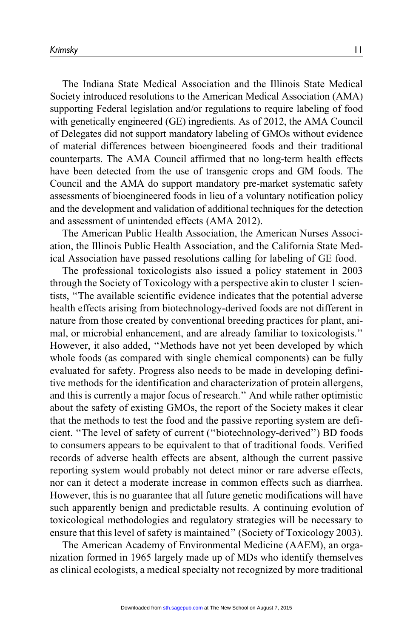The Indiana State Medical Association and the Illinois State Medical Society introduced resolutions to the American Medical Association (AMA) supporting Federal legislation and/or regulations to require labeling of food with genetically engineered (GE) ingredients. As of 2012, the AMA Council of Delegates did not support mandatory labeling of GMOs without evidence of material differences between bioengineered foods and their traditional counterparts. The AMA Council affirmed that no long-term health effects have been detected from the use of transgenic crops and GM foods. The Council and the AMA do support mandatory pre-market systematic safety assessments of bioengineered foods in lieu of a voluntary notification policy and the development and validation of additional techniques for the detection and assessment of unintended effects (AMA 2012).

The American Public Health Association, the American Nurses Association, the Illinois Public Health Association, and the California State Medical Association have passed resolutions calling for labeling of GE food.

The professional toxicologists also issued a policy statement in 2003 through the Society of Toxicology with a perspective akin to cluster 1 scientists, ''The available scientific evidence indicates that the potential adverse health effects arising from biotechnology-derived foods are not different in nature from those created by conventional breeding practices for plant, animal, or microbial enhancement, and are already familiar to toxicologists.'' However, it also added, ''Methods have not yet been developed by which whole foods (as compared with single chemical components) can be fully evaluated for safety. Progress also needs to be made in developing definitive methods for the identification and characterization of protein allergens, and this is currently a major focus of research.'' And while rather optimistic about the safety of existing GMOs, the report of the Society makes it clear that the methods to test the food and the passive reporting system are deficient. ''The level of safety of current (''biotechnology-derived'') BD foods to consumers appears to be equivalent to that of traditional foods. Verified records of adverse health effects are absent, although the current passive reporting system would probably not detect minor or rare adverse effects, nor can it detect a moderate increase in common effects such as diarrhea. However, this is no guarantee that all future genetic modifications will have such apparently benign and predictable results. A continuing evolution of toxicological methodologies and regulatory strategies will be necessary to ensure that this level of safety is maintained'' (Society of Toxicology 2003).

The American Academy of Environmental Medicine (AAEM), an organization formed in 1965 largely made up of MDs who identify themselves as clinical ecologists, a medical specialty not recognized by more traditional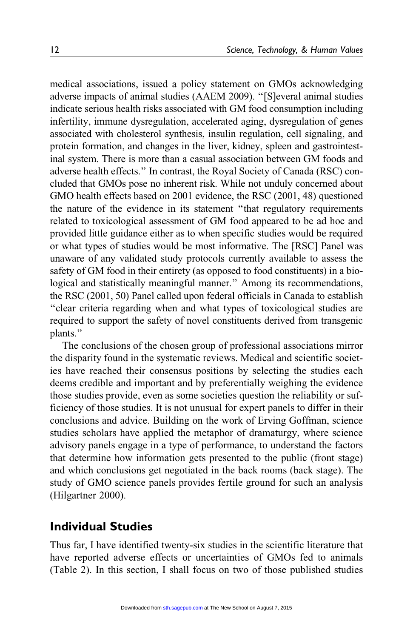medical associations, issued a policy statement on GMOs acknowledging adverse impacts of animal studies (AAEM 2009). ''[S]everal animal studies indicate serious health risks associated with GM food consumption including infertility, immune dysregulation, accelerated aging, dysregulation of genes associated with cholesterol synthesis, insulin regulation, cell signaling, and protein formation, and changes in the liver, kidney, spleen and gastrointestinal system. There is more than a casual association between GM foods and adverse health effects.'' In contrast, the Royal Society of Canada (RSC) concluded that GMOs pose no inherent risk. While not unduly concerned about GMO health effects based on 2001 evidence, the RSC (2001, 48) questioned the nature of the evidence in its statement ''that regulatory requirements related to toxicological assessment of GM food appeared to be ad hoc and provided little guidance either as to when specific studies would be required or what types of studies would be most informative. The [RSC] Panel was unaware of any validated study protocols currently available to assess the safety of GM food in their entirety (as opposed to food constituents) in a biological and statistically meaningful manner.'' Among its recommendations, the RSC (2001, 50) Panel called upon federal officials in Canada to establish ''clear criteria regarding when and what types of toxicological studies are required to support the safety of novel constituents derived from transgenic plants.''

The conclusions of the chosen group of professional associations mirror the disparity found in the systematic reviews. Medical and scientific societies have reached their consensus positions by selecting the studies each deems credible and important and by preferentially weighing the evidence those studies provide, even as some societies question the reliability or sufficiency of those studies. It is not unusual for expert panels to differ in their conclusions and advice. Building on the work of Erving Goffman, science studies scholars have applied the metaphor of dramaturgy, where science advisory panels engage in a type of performance, to understand the factors that determine how information gets presented to the public (front stage) and which conclusions get negotiated in the back rooms (back stage). The study of GMO science panels provides fertile ground for such an analysis (Hilgartner 2000).

## Individual Studies

Thus far, I have identified twenty-six studies in the scientific literature that have reported adverse effects or uncertainties of GMOs fed to animals (Table 2). In this section, I shall focus on two of those published studies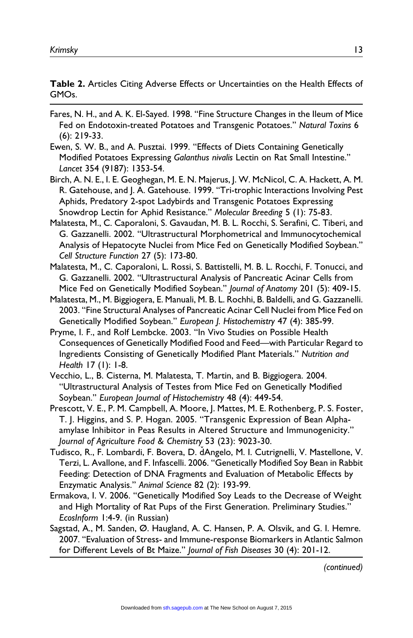Table 2. Articles Citing Adverse Effects or Uncertainties on the Health Effects of GMOs.

- Fares, N. H., and A. K. El-Sayed. 1998. ''Fine Structure Changes in the Ileum of Mice Fed on Endotoxin-treated Potatoes and Transgenic Potatoes.'' Natural Toxins 6 (6): 219-33.
- Ewen, S. W. B., and A. Pusztai. 1999. ''Effects of Diets Containing Genetically Modified Potatoes Expressing Galanthus nivalis Lectin on Rat Small Intestine.'' Lancet 354 (9187): 1353-54.
- Birch, A. N. E., I. E. Geoghegan, M. E. N. Majerus, J. W. McNicol, C. A. Hackett, A. M. R. Gatehouse, and J. A. Gatehouse. 1999. "Tri-trophic Interactions Involving Pest Aphids, Predatory 2-spot Ladybirds and Transgenic Potatoes Expressing Snowdrop Lectin for Aphid Resistance.'' Molecular Breeding 5 (1): 75-83.
- Malatesta, M., C. Caporaloni, S. Gavaudan, M. B. L. Rocchi, S. Serafini, C. Tiberi, and G. Gazzanelli. 2002. ''Ultrastructural Morphometrical and Immunocytochemical Analysis of Hepatocyte Nuclei from Mice Fed on Genetically Modified Soybean.'' Cell Structure Function 27 (5): 173-80.
- Malatesta, M., C. Caporaloni, L. Rossi, S. Battistelli, M. B. L. Rocchi, F. Tonucci, and G. Gazzanelli. 2002. ''Ultrastructural Analysis of Pancreatic Acinar Cells from Mice Fed on Genetically Modified Soybean.'' Journal of Anatomy 201 (5): 409-15.
- Malatesta, M., M. Biggiogera, E. Manuali, M. B. L. Rochhi, B. Baldelli, and G. Gazzanelli. 2003. ''Fine Structural Analyses of Pancreatic Acinar Cell Nuclei from Mice Fed on Genetically Modified Soybean.'' European J. Histochemistry 47 (4): 385-99.
- Pryme, I. F., and Rolf Lembcke. 2003. ''In Vivo Studies on Possible Health Consequences of Genetically Modified Food and Feed—with Particular Regard to Ingredients Consisting of Genetically Modified Plant Materials.'' Nutrition and Health 17 (1): 1-8.
- Vecchio, L., B. Cisterna, M. Malatesta, T. Martin, and B. Biggiogera. 2004. ''Ultrastructural Analysis of Testes from Mice Fed on Genetically Modified Soybean.'' European Journal of Histochemistry 48 (4): 449-54.
- Prescott, V. E., P. M. Campbell, A. Moore, J. Mattes, M. E. Rothenberg, P. S. Foster, T. J. Higgins, and S. P. Hogan. 2005. ''Transgenic Expression of Bean Alphaamylase Inhibitor in Peas Results in Altered Structure and Immunogenicity.'' Journal of Agriculture Food & Chemistry 53 (23): 9023-30.
- Tudisco, R., F. Lombardi, F. Bovera, D. dAngelo, M. I. Cutrignelli, V. Mastellone, V. Terzi, L. Avallone, and F. Infascelli. 2006. ''Genetically Modified Soy Bean in Rabbit Feeding: Detection of DNA Fragments and Evaluation of Metabolic Effects by Enzymatic Analysis.'' Animal Science 82 (2): 193-99.
- Ermakova, I. V. 2006. ''Genetically Modified Soy Leads to the Decrease of Weight and High Mortality of Rat Pups of the First Generation. Preliminary Studies.'' EcosInform 1:4-9. (in Russian)
- Sagstad, A., M. Sanden, Ø. Haugland, A. C. Hansen, P. A. Olsvik, and G. I. Hemre. 2007. ''Evaluation of Stress- and Immune-response Biomarkers in Atlantic Salmon for Different Levels of Bt Maize.'' Journal of Fish Diseases 30 (4): 201-12.

(continued)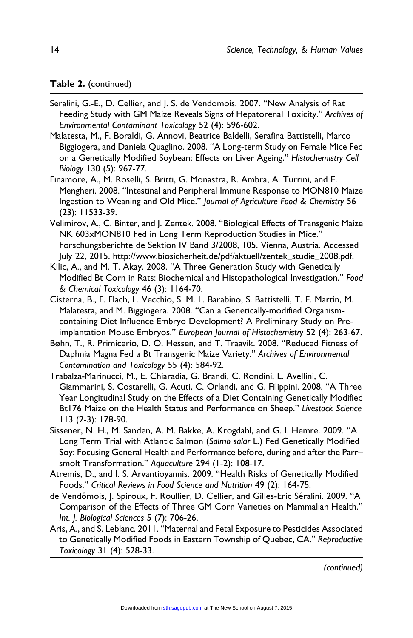#### Table 2. (continued)

- Seralini, G.-E., D. Cellier, and J. S. de Vendomois. 2007. ''New Analysis of Rat Feeding Study with GM Maize Reveals Signs of Hepatorenal Toxicity.'' Archives of Environmental Contaminant Toxicology 52 (4): 596-602.
- Malatesta, M., F. Boraldi, G. Annovi, Beatrice Baldelli, Serafina Battistelli, Marco Biggiogera, and Daniela Quaglino. 2008. ''A Long-term Study on Female Mice Fed on a Genetically Modified Soybean: Effects on Liver Ageing.'' Histochemistry Cell Biology 130 (5): 967-77.
- Finamore, A., M. Roselli, S. Britti, G. Monastra, R. Ambra, A. Turrini, and E. Mengheri. 2008. ''Intestinal and Peripheral Immune Response to MON810 Maize Ingestion to Weaning and Old Mice.'' Journal of Agriculture Food & Chemistry 56 (23): 11533-39.
- Velimirov, A., C. Binter, and J. Zentek. 2008. ''Biological Effects of Transgenic Maize NK 603xMON810 Fed in Long Term Reproduction Studies in Mice.'' Forschungsberichte de Sektion IV Band 3/2008, 105. Vienna, Austria. Accessed July 22, 2015. http://www.biosicherheit.de/pdf/aktuell/zentek\_studie\_2008.pdf.
- Kilic, A., and M. T. Akay. 2008. ''A Three Generation Study with Genetically Modified Bt Corn in Rats: Biochemical and Histopathological Investigation.'' Food & Chemical Toxicology 46 (3): 1164-70.
- Cisterna, B., F. Flach, L. Vecchio, S. M. L. Barabino, S. Battistelli, T. E. Martin, M. Malatesta, and M. Biggiogera. 2008. ''Can a Genetically-modified Organismcontaining Diet Influence Embryo Development? A Preliminary Study on Preimplantation Mouse Embryos.'' European Journal of Histochemistry 52 (4): 263-67.
- Bøhn, T., R. Primicerio, D. O. Hessen, and T. Traavik. 2008. ''Reduced Fitness of Daphnia Magna Fed a Bt Transgenic Maize Variety.'' Archives of Environmental Contamination and Toxicology 55 (4): 584-92.
- Trabalza-Marinucci, M., E. Chiaradia, G. Brandi, C. Rondini, L. Avellini, C. Giammarini, S. Costarelli, G. Acuti, C. Orlandi, and G. Filippini. 2008. ''A Three Year Longitudinal Study on the Effects of a Diet Containing Genetically Modified Bt176 Maize on the Health Status and Performance on Sheep.'' Livestock Science 113 (2-3): 178-90.
- Sissener, N. H., M. Sanden, A. M. Bakke, A. Krogdahl, and G. I. Hemre. 2009. ''A Long Term Trial with Atlantic Salmon (Salmo salar L.) Fed Genetically Modified Soy; Focusing General Health and Performance before, during and after the Parr– smolt Transformation.'' Aquaculture 294 (1-2): 108-17.
- Atremis, D., and I. S. Arvantioyannis. 2009. ''Health Risks of Genetically Modified Foods.'' Critical Reviews in Food Science and Nutrition 49 (2): 164-75.
- de Vendômois, J. Spiroux, F. Roullier, D. Cellier, and Gilles-Eric Séralini. 2009. "A Comparison of the Effects of Three GM Corn Varieties on Mammalian Health.'' Int. J. Biological Sciences 5 (7): 706-26.
- Aris, A., and S. Leblanc. 2011. ''Maternal and Fetal Exposure to Pesticides Associated to Genetically Modified Foods in Eastern Township of Quebec, CA.'' Reproductive Toxicology 31 (4): 528-33.

(continued)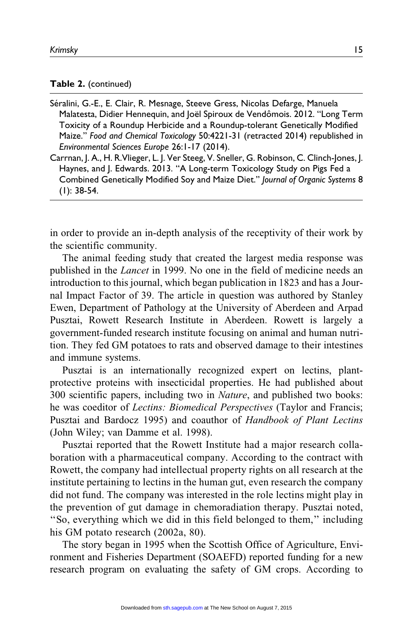Table 2. (continued)

Séralini, G.-E., E. Clair, R. Mesnage, Steeve Gress, Nicolas Defarge, Manuela Malatesta, Didier Hennequin, and Joël Spiroux de Vendômois. 2012. "Long Term Toxicity of a Roundup Herbicide and a Roundup-tolerant Genetically Modified Maize.'' Food and Chemical Toxicology 50:4221-31 (retracted 2014) republished in Environmental Sciences Europe 26:1-17 (2014).

Carrnan, J. A., H. R.Vlieger, L. J. Ver Steeg, V. Sneller, G. Robinson, C. Clinch-Jones, J. Haynes, and J. Edwards. 2013. ''A Long-term Toxicology Study on Pigs Fed a Combined Genetically Modified Soy and Maize Diet.'' Journal of Organic Systems 8 (1): 38-54.

in order to provide an in-depth analysis of the receptivity of their work by the scientific community.

The animal feeding study that created the largest media response was published in the Lancet in 1999. No one in the field of medicine needs an introduction to this journal, which began publication in 1823 and has a Journal Impact Factor of 39. The article in question was authored by Stanley Ewen, Department of Pathology at the University of Aberdeen and Arpad Pusztai, Rowett Research Institute in Aberdeen. Rowett is largely a government-funded research institute focusing on animal and human nutrition. They fed GM potatoes to rats and observed damage to their intestines and immune systems.

Pusztai is an internationally recognized expert on lectins, plantprotective proteins with insecticidal properties. He had published about 300 scientific papers, including two in Nature, and published two books: he was coeditor of Lectins: Biomedical Perspectives (Taylor and Francis; Pusztai and Bardocz 1995) and coauthor of Handbook of Plant Lectins (John Wiley; van Damme et al. 1998).

Pusztai reported that the Rowett Institute had a major research collaboration with a pharmaceutical company. According to the contract with Rowett, the company had intellectual property rights on all research at the institute pertaining to lectins in the human gut, even research the company did not fund. The company was interested in the role lectins might play in the prevention of gut damage in chemoradiation therapy. Pusztai noted, ''So, everything which we did in this field belonged to them,'' including his GM potato research (2002a, 80).

The story began in 1995 when the Scottish Office of Agriculture, Environment and Fisheries Department (SOAEFD) reported funding for a new research program on evaluating the safety of GM crops. According to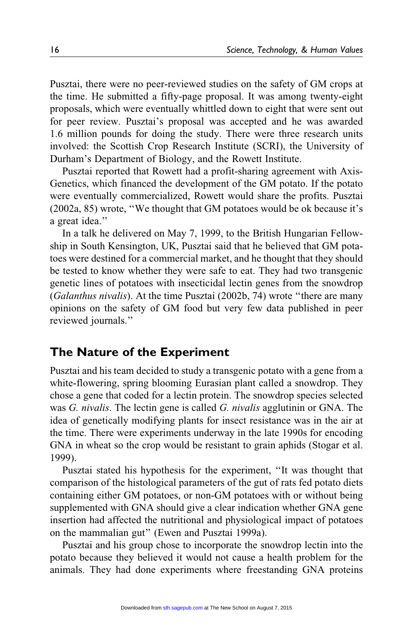Pusztai, there were no peer-reviewed studies on the safety of GM crops at the time. He submitted a fifty-page proposal. It was among twenty-eight proposals, which were eventually whittled down to eight that were sent out for peer review. Pusztai's proposal was accepted and he was awarded 1.6 million pounds for doing the study. There were three research units involved: the Scottish Crop Research Institute (SCRI), the University of Durham's Department of Biology, and the Rowett Institute.

Pusztai reported that Rowett had a profit-sharing agreement with Axis-Genetics, which financed the development of the GM potato. If the potato were eventually commercialized, Rowett would share the profits. Pusztai (2002a, 85) wrote, ''We thought that GM potatoes would be ok because it's a great idea.''

In a talk he delivered on May 7, 1999, to the British Hungarian Fellowship in South Kensington, UK, Pusztai said that he believed that GM potatoes were destined for a commercial market, and he thought that they should be tested to know whether they were safe to eat. They had two transgenic genetic lines of potatoes with insecticidal lectin genes from the snowdrop (Galanthus nivalis). At the time Pusztai (2002b, 74) wrote ''there are many opinions on the safety of GM food but very few data published in peer reviewed journals.''

## The Nature of the Experiment

Pusztai and his team decided to study a transgenic potato with a gene from a white-flowering, spring blooming Eurasian plant called a snowdrop. They chose a gene that coded for a lectin protein. The snowdrop species selected was G. nivalis. The lectin gene is called G. nivalis agglutinin or GNA. The idea of genetically modifying plants for insect resistance was in the air at the time. There were experiments underway in the late 1990s for encoding GNA in wheat so the crop would be resistant to grain aphids (Stogar et al. 1999).

Pusztai stated his hypothesis for the experiment, ''It was thought that comparison of the histological parameters of the gut of rats fed potato diets containing either GM potatoes, or non-GM potatoes with or without being supplemented with GNA should give a clear indication whether GNA gene insertion had affected the nutritional and physiological impact of potatoes on the mammalian gut'' (Ewen and Pusztai 1999a).

Pusztai and his group chose to incorporate the snowdrop lectin into the potato because they believed it would not cause a health problem for the animals. They had done experiments where freestanding GNA proteins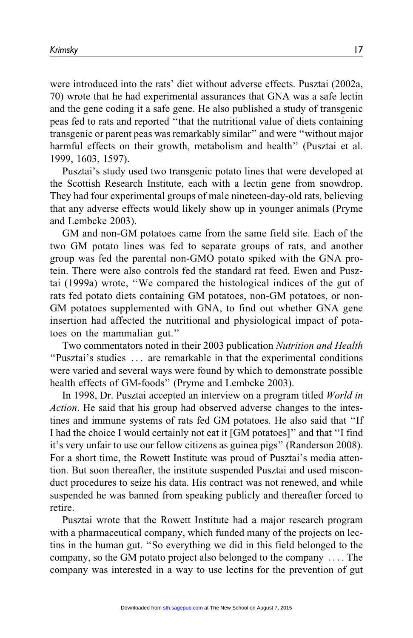were introduced into the rats' diet without adverse effects. Pusztai (2002a, 70) wrote that he had experimental assurances that GNA was a safe lectin and the gene coding it a safe gene. He also published a study of transgenic peas fed to rats and reported ''that the nutritional value of diets containing transgenic or parent peas was remarkably similar'' and were ''without major harmful effects on their growth, metabolism and health'' (Pusztai et al. 1999, 1603, 1597).

Pusztai's study used two transgenic potato lines that were developed at the Scottish Research Institute, each with a lectin gene from snowdrop. They had four experimental groups of male nineteen-day-old rats, believing that any adverse effects would likely show up in younger animals (Pryme and Lembcke 2003).

GM and non-GM potatoes came from the same field site. Each of the two GM potato lines was fed to separate groups of rats, and another group was fed the parental non-GMO potato spiked with the GNA protein. There were also controls fed the standard rat feed. Ewen and Pusztai (1999a) wrote, ''We compared the histological indices of the gut of rats fed potato diets containing GM potatoes, non-GM potatoes, or non-GM potatoes supplemented with GNA, to find out whether GNA gene insertion had affected the nutritional and physiological impact of potatoes on the mammalian gut.''

Two commentators noted in their 2003 publication Nutrition and Health ''Pusztai's studies ... are remarkable in that the experimental conditions were varied and several ways were found by which to demonstrate possible health effects of GM-foods'' (Pryme and Lembcke 2003).

In 1998, Dr. Pusztai accepted an interview on a program titled World in Action. He said that his group had observed adverse changes to the intestines and immune systems of rats fed GM potatoes. He also said that ''If I had the choice I would certainly not eat it [GM potatoes]'' and that ''I find it's very unfair to use our fellow citizens as guinea pigs'' (Randerson 2008). For a short time, the Rowett Institute was proud of Pusztai's media attention. But soon thereafter, the institute suspended Pusztai and used misconduct procedures to seize his data. His contract was not renewed, and while suspended he was banned from speaking publicly and thereafter forced to retire.

Pusztai wrote that the Rowett Institute had a major research program with a pharmaceutical company, which funded many of the projects on lectins in the human gut. ''So everything we did in this field belonged to the company, so the GM potato project also belonged to the company ... . The company was interested in a way to use lectins for the prevention of gut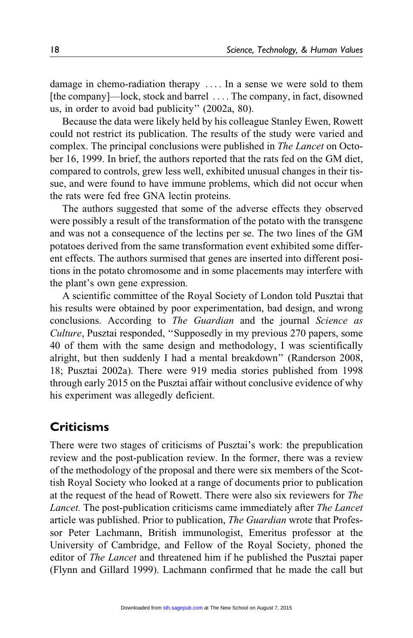damage in chemo-radiation therapy ... . In a sense we were sold to them [the company]—lock, stock and barrel .... The company, in fact, disowned us, in order to avoid bad publicity'' (2002a, 80).

Because the data were likely held by his colleague Stanley Ewen, Rowett could not restrict its publication. The results of the study were varied and complex. The principal conclusions were published in The Lancet on October 16, 1999. In brief, the authors reported that the rats fed on the GM diet, compared to controls, grew less well, exhibited unusual changes in their tissue, and were found to have immune problems, which did not occur when the rats were fed free GNA lectin proteins.

The authors suggested that some of the adverse effects they observed were possibly a result of the transformation of the potato with the transgene and was not a consequence of the lectins per se. The two lines of the GM potatoes derived from the same transformation event exhibited some different effects. The authors surmised that genes are inserted into different positions in the potato chromosome and in some placements may interfere with the plant's own gene expression.

A scientific committee of the Royal Society of London told Pusztai that his results were obtained by poor experimentation, bad design, and wrong conclusions. According to The Guardian and the journal Science as Culture, Pusztai responded, ''Supposedly in my previous 270 papers, some 40 of them with the same design and methodology, I was scientifically alright, but then suddenly I had a mental breakdown'' (Randerson 2008, 18; Pusztai 2002a). There were 919 media stories published from 1998 through early 2015 on the Pusztai affair without conclusive evidence of why his experiment was allegedly deficient.

## **Criticisms**

There were two stages of criticisms of Pusztai's work: the prepublication review and the post-publication review. In the former, there was a review of the methodology of the proposal and there were six members of the Scottish Royal Society who looked at a range of documents prior to publication at the request of the head of Rowett. There were also six reviewers for The Lancet. The post-publication criticisms came immediately after The Lancet article was published. Prior to publication, The Guardian wrote that Professor Peter Lachmann, British immunologist, Emeritus professor at the University of Cambridge, and Fellow of the Royal Society, phoned the editor of The Lancet and threatened him if he published the Pusztai paper (Flynn and Gillard 1999). Lachmann confirmed that he made the call but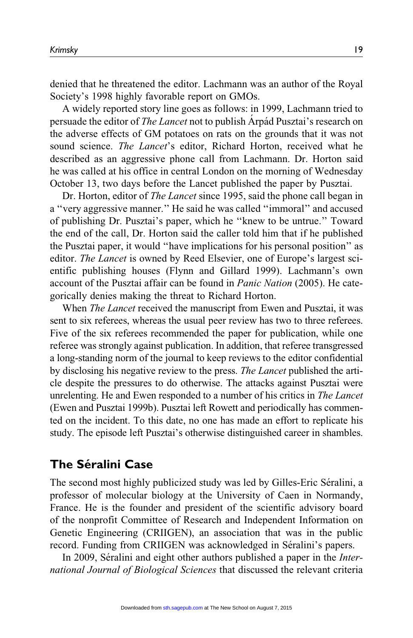denied that he threatened the editor. Lachmann was an author of the Royal Society's 1998 highly favorable report on GMOs.

A widely reported story line goes as follows: in 1999, Lachmann tried to persuade the editor of The Lancet not to publish Arpad Pusztai's research on the adverse effects of GM potatoes on rats on the grounds that it was not sound science. The Lancet's editor, Richard Horton, received what he described as an aggressive phone call from Lachmann. Dr. Horton said he was called at his office in central London on the morning of Wednesday October 13, two days before the Lancet published the paper by Pusztai.

Dr. Horton, editor of *The Lancet* since 1995, said the phone call began in a ''very aggressive manner.'' He said he was called ''immoral'' and accused of publishing Dr. Pusztai's paper, which he ''knew to be untrue.'' Toward the end of the call, Dr. Horton said the caller told him that if he published the Pusztai paper, it would ''have implications for his personal position'' as editor. The Lancet is owned by Reed Elsevier, one of Europe's largest scientific publishing houses (Flynn and Gillard 1999). Lachmann's own account of the Pusztai affair can be found in Panic Nation (2005). He categorically denies making the threat to Richard Horton.

When *The Lancet* received the manuscript from Ewen and Pusztai, it was sent to six referees, whereas the usual peer review has two to three referees. Five of the six referees recommended the paper for publication, while one referee was strongly against publication. In addition, that referee transgressed a long-standing norm of the journal to keep reviews to the editor confidential by disclosing his negative review to the press. The Lancet published the article despite the pressures to do otherwise. The attacks against Pusztai were unrelenting. He and Ewen responded to a number of his critics in The Lancet (Ewen and Pusztai 1999b). Pusztai left Rowett and periodically has commented on the incident. To this date, no one has made an effort to replicate his study. The episode left Pusztai's otherwise distinguished career in shambles.

## The Séralini Case

The second most highly publicized study was led by Gilles-Eric Séralini, a professor of molecular biology at the University of Caen in Normandy, France. He is the founder and president of the scientific advisory board of the nonprofit Committee of Research and Independent Information on Genetic Engineering (CRIIGEN), an association that was in the public record. Funding from CRIIGEN was acknowledged in Séralini's papers.

In 2009, Séralini and eight other authors published a paper in the *Inter*national Journal of Biological Sciences that discussed the relevant criteria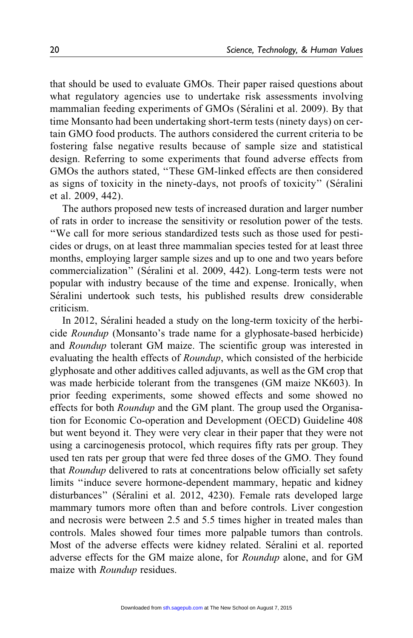that should be used to evaluate GMOs. Their paper raised questions about what regulatory agencies use to undertake risk assessments involving mammalian feeding experiments of GMOs (Séralini et al. 2009). By that time Monsanto had been undertaking short-term tests (ninety days) on certain GMO food products. The authors considered the current criteria to be fostering false negative results because of sample size and statistical design. Referring to some experiments that found adverse effects from GMOs the authors stated, ''These GM-linked effects are then considered as signs of toxicity in the ninety-days, not proofs of toxicity" (Séralini et al. 2009, 442).

The authors proposed new tests of increased duration and larger number of rats in order to increase the sensitivity or resolution power of the tests. ''We call for more serious standardized tests such as those used for pesticides or drugs, on at least three mammalian species tested for at least three months, employing larger sample sizes and up to one and two years before commercialization" (Séralini et al. 2009, 442). Long-term tests were not popular with industry because of the time and expense. Ironically, when Séralini undertook such tests, his published results drew considerable criticism.

In 2012, Séralini headed a study on the long-term toxicity of the herbicide Roundup (Monsanto's trade name for a glyphosate-based herbicide) and Roundup tolerant GM maize. The scientific group was interested in evaluating the health effects of Roundup, which consisted of the herbicide glyphosate and other additives called adjuvants, as well as the GM crop that was made herbicide tolerant from the transgenes (GM maize NK603). In prior feeding experiments, some showed effects and some showed no effects for both Roundup and the GM plant. The group used the Organisation for Economic Co-operation and Development (OECD) Guideline 408 but went beyond it. They were very clear in their paper that they were not using a carcinogenesis protocol, which requires fifty rats per group. They used ten rats per group that were fed three doses of the GMO. They found that Roundup delivered to rats at concentrations below officially set safety limits ''induce severe hormone-dependent mammary, hepatic and kidney disturbances" (Séralini et al. 2012, 4230). Female rats developed large mammary tumors more often than and before controls. Liver congestion and necrosis were between 2.5 and 5.5 times higher in treated males than controls. Males showed four times more palpable tumors than controls. Most of the adverse effects were kidney related. Séralini et al. reported adverse effects for the GM maize alone, for Roundup alone, and for GM maize with Roundup residues.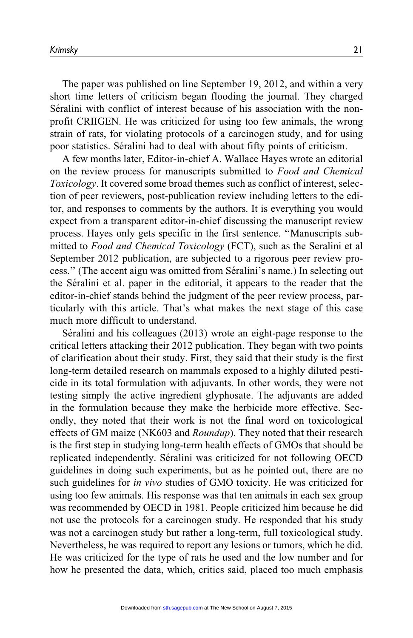The paper was published on line September 19, 2012, and within a very short time letters of criticism began flooding the journal. They charged Séralini with conflict of interest because of his association with the nonprofit CRIIGEN. He was criticized for using too few animals, the wrong strain of rats, for violating protocols of a carcinogen study, and for using poor statistics. Séralini had to deal with about fifty points of criticism.

A few months later, Editor-in-chief A. Wallace Hayes wrote an editorial on the review process for manuscripts submitted to Food and Chemical Toxicology. It covered some broad themes such as conflict of interest, selection of peer reviewers, post-publication review including letters to the editor, and responses to comments by the authors. It is everything you would expect from a transparent editor-in-chief discussing the manuscript review process. Hayes only gets specific in the first sentence. ''Manuscripts submitted to Food and Chemical Toxicology (FCT), such as the Seralini et al September 2012 publication, are subjected to a rigorous peer review process." (The accent aigu was omitted from Séralini's name.) In selecting out the Séralini et al. paper in the editorial, it appears to the reader that the editor-in-chief stands behind the judgment of the peer review process, particularly with this article. That's what makes the next stage of this case much more difficult to understand.

Séralini and his colleagues (2013) wrote an eight-page response to the critical letters attacking their 2012 publication. They began with two points of clarification about their study. First, they said that their study is the first long-term detailed research on mammals exposed to a highly diluted pesticide in its total formulation with adjuvants. In other words, they were not testing simply the active ingredient glyphosate. The adjuvants are added in the formulation because they make the herbicide more effective. Secondly, they noted that their work is not the final word on toxicological effects of GM maize (NK603 and Roundup). They noted that their research is the first step in studying long-term health effects of GMOs that should be replicated independently. Séralini was criticized for not following OECD guidelines in doing such experiments, but as he pointed out, there are no such guidelines for *in vivo* studies of GMO toxicity. He was criticized for using too few animals. His response was that ten animals in each sex group was recommended by OECD in 1981. People criticized him because he did not use the protocols for a carcinogen study. He responded that his study was not a carcinogen study but rather a long-term, full toxicological study. Nevertheless, he was required to report any lesions or tumors, which he did. He was criticized for the type of rats he used and the low number and for how he presented the data, which, critics said, placed too much emphasis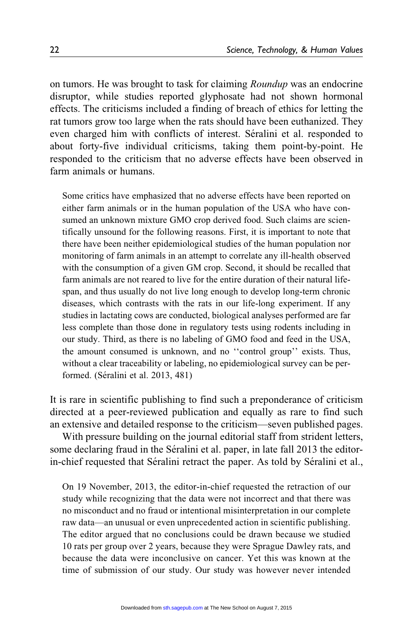on tumors. He was brought to task for claiming Roundup was an endocrine disruptor, while studies reported glyphosate had not shown hormonal effects. The criticisms included a finding of breach of ethics for letting the rat tumors grow too large when the rats should have been euthanized. They even charged him with conflicts of interest. Séralini et al. responded to about forty-five individual criticisms, taking them point-by-point. He responded to the criticism that no adverse effects have been observed in farm animals or humans.

Some critics have emphasized that no adverse effects have been reported on either farm animals or in the human population of the USA who have consumed an unknown mixture GMO crop derived food. Such claims are scientifically unsound for the following reasons. First, it is important to note that there have been neither epidemiological studies of the human population nor monitoring of farm animals in an attempt to correlate any ill-health observed with the consumption of a given GM crop. Second, it should be recalled that farm animals are not reared to live for the entire duration of their natural lifespan, and thus usually do not live long enough to develop long-term chronic diseases, which contrasts with the rats in our life-long experiment. If any studies in lactating cows are conducted, biological analyses performed are far less complete than those done in regulatory tests using rodents including in our study. Third, as there is no labeling of GMO food and feed in the USA, the amount consumed is unknown, and no ''control group'' exists. Thus, without a clear traceability or labeling, no epidemiological survey can be performed. (Séralini et al. 2013, 481)

It is rare in scientific publishing to find such a preponderance of criticism directed at a peer-reviewed publication and equally as rare to find such an extensive and detailed response to the criticism—seven published pages.

With pressure building on the journal editorial staff from strident letters, some declaring fraud in the Séralini et al. paper, in late fall 2013 the editorin-chief requested that Séralini retract the paper. As told by Séralini et al.,

On 19 November, 2013, the editor-in-chief requested the retraction of our study while recognizing that the data were not incorrect and that there was no misconduct and no fraud or intentional misinterpretation in our complete raw data—an unusual or even unprecedented action in scientific publishing. The editor argued that no conclusions could be drawn because we studied 10 rats per group over 2 years, because they were Sprague Dawley rats, and because the data were inconclusive on cancer. Yet this was known at the time of submission of our study. Our study was however never intended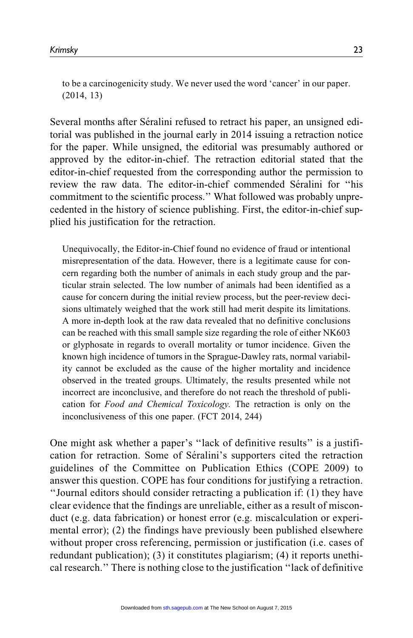to be a carcinogenicity study. We never used the word 'cancer' in our paper. (2014, 13)

Several months after Séralini refused to retract his paper, an unsigned editorial was published in the journal early in 2014 issuing a retraction notice for the paper. While unsigned, the editorial was presumably authored or approved by the editor-in-chief. The retraction editorial stated that the editor-in-chief requested from the corresponding author the permission to review the raw data. The editor-in-chief commended Séralini for "his commitment to the scientific process.'' What followed was probably unprecedented in the history of science publishing. First, the editor-in-chief supplied his justification for the retraction.

Unequivocally, the Editor-in-Chief found no evidence of fraud or intentional misrepresentation of the data. However, there is a legitimate cause for concern regarding both the number of animals in each study group and the particular strain selected. The low number of animals had been identified as a cause for concern during the initial review process, but the peer-review decisions ultimately weighed that the work still had merit despite its limitations. A more in-depth look at the raw data revealed that no definitive conclusions can be reached with this small sample size regarding the role of either NK603 or glyphosate in regards to overall mortality or tumor incidence. Given the known high incidence of tumors in the Sprague-Dawley rats, normal variability cannot be excluded as the cause of the higher mortality and incidence observed in the treated groups. Ultimately, the results presented while not incorrect are inconclusive, and therefore do not reach the threshold of publication for Food and Chemical Toxicology. The retraction is only on the inconclusiveness of this one paper. (FCT 2014, 244)

One might ask whether a paper's ''lack of definitive results'' is a justification for retraction. Some of Séralini's supporters cited the retraction guidelines of the Committee on Publication Ethics (COPE 2009) to answer this question. COPE has four conditions for justifying a retraction. ''Journal editors should consider retracting a publication if: (1) they have clear evidence that the findings are unreliable, either as a result of misconduct (e.g. data fabrication) or honest error (e.g. miscalculation or experimental error); (2) the findings have previously been published elsewhere without proper cross referencing, permission or justification (i.e. cases of redundant publication); (3) it constitutes plagiarism; (4) it reports unethical research.'' There is nothing close to the justification ''lack of definitive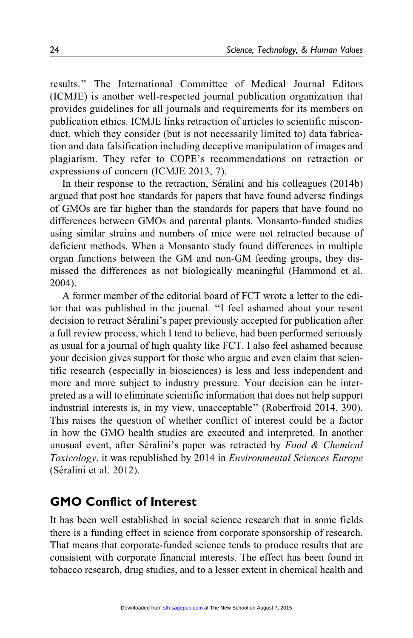results.'' The International Committee of Medical Journal Editors (ICMJE) is another well-respected journal publication organization that provides guidelines for all journals and requirements for its members on publication ethics. ICMJE links retraction of articles to scientific misconduct, which they consider (but is not necessarily limited to) data fabrication and data falsification including deceptive manipulation of images and plagiarism. They refer to COPE's recommendations on retraction or expressions of concern (ICMJE 2013, 7).

In their response to the retraction, Séralini and his colleagues (2014b) argued that post hoc standards for papers that have found adverse findings of GMOs are far higher than the standards for papers that have found no differences between GMOs and parental plants. Monsanto-funded studies using similar strains and numbers of mice were not retracted because of deficient methods. When a Monsanto study found differences in multiple organ functions between the GM and non-GM feeding groups, they dismissed the differences as not biologically meaningful (Hammond et al. 2004).

A former member of the editorial board of FCT wrote a letter to the editor that was published in the journal. ''I feel ashamed about your resent decision to retract Séralini's paper previously accepted for publication after a full review process, which I tend to believe, had been performed seriously as usual for a journal of high quality like FCT. I also feel ashamed because your decision gives support for those who argue and even claim that scientific research (especially in biosciences) is less and less independent and more and more subject to industry pressure. Your decision can be interpreted as a will to eliminate scientific information that does not help support industrial interests is, in my view, unacceptable'' (Roberfroid 2014, 390). This raises the question of whether conflict of interest could be a factor in how the GMO health studies are executed and interpreted. In another unusual event, after Séralini's paper was retracted by  $Food & Chemical$ Toxicology, it was republished by 2014 in Environmental Sciences Europe (Séralini et al. 2012).

## GMO Conflict of Interest

It has been well established in social science research that in some fields there is a funding effect in science from corporate sponsorship of research. That means that corporate-funded science tends to produce results that are consistent with corporate financial interests. The effect has been found in tobacco research, drug studies, and to a lesser extent in chemical health and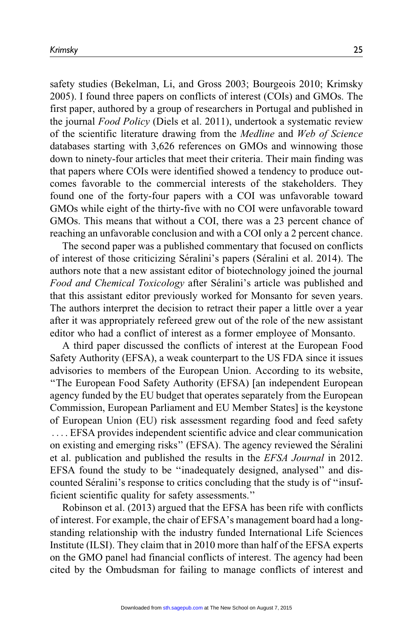safety studies (Bekelman, Li, and Gross 2003; Bourgeois 2010; Krimsky 2005). I found three papers on conflicts of interest (COIs) and GMOs. The first paper, authored by a group of researchers in Portugal and published in the journal Food Policy (Diels et al. 2011), undertook a systematic review of the scientific literature drawing from the Medline and Web of Science databases starting with 3,626 references on GMOs and winnowing those down to ninety-four articles that meet their criteria. Their main finding was that papers where COIs were identified showed a tendency to produce outcomes favorable to the commercial interests of the stakeholders. They found one of the forty-four papers with a COI was unfavorable toward GMOs while eight of the thirty-five with no COI were unfavorable toward GMOs. This means that without a COI, there was a 23 percent chance of reaching an unfavorable conclusion and with a COI only a 2 percent chance.

The second paper was a published commentary that focused on conflicts of interest of those criticizing Séralini's papers (Séralini et al. 2014). The authors note that a new assistant editor of biotechnology joined the journal Food and Chemical Toxicology after Séralini's article was published and that this assistant editor previously worked for Monsanto for seven years. The authors interpret the decision to retract their paper a little over a year after it was appropriately refereed grew out of the role of the new assistant editor who had a conflict of interest as a former employee of Monsanto.

A third paper discussed the conflicts of interest at the European Food Safety Authority (EFSA), a weak counterpart to the US FDA since it issues advisories to members of the European Union. According to its website, ''The European Food Safety Authority (EFSA) [an independent European agency funded by the EU budget that operates separately from the European Commission, European Parliament and EU Member States] is the keystone of European Union (EU) risk assessment regarding food and feed safety ... . EFSA provides independent scientific advice and clear communication on existing and emerging risks" (EFSA). The agency reviewed the Séralini et al. publication and published the results in the EFSA Journal in 2012. EFSA found the study to be ''inadequately designed, analysed'' and discounted Séralini's response to critics concluding that the study is of "insufficient scientific quality for safety assessments.''

Robinson et al. (2013) argued that the EFSA has been rife with conflicts of interest. For example, the chair of EFSA's management board had a longstanding relationship with the industry funded International Life Sciences Institute (ILSI). They claim that in 2010 more than half of the EFSA experts on the GMO panel had financial conflicts of interest. The agency had been cited by the Ombudsman for failing to manage conflicts of interest and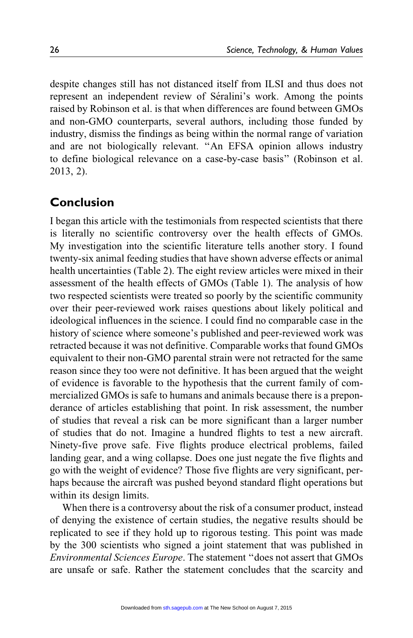despite changes still has not distanced itself from ILSI and thus does not represent an independent review of Séralini's work. Among the points raised by Robinson et al. is that when differences are found between GMOs and non-GMO counterparts, several authors, including those funded by industry, dismiss the findings as being within the normal range of variation and are not biologically relevant. ''An EFSA opinion allows industry to define biological relevance on a case-by-case basis'' (Robinson et al. 2013, 2).

## Conclusion

I began this article with the testimonials from respected scientists that there is literally no scientific controversy over the health effects of GMOs. My investigation into the scientific literature tells another story. I found twenty-six animal feeding studies that have shown adverse effects or animal health uncertainties (Table 2). The eight review articles were mixed in their assessment of the health effects of GMOs (Table 1). The analysis of how two respected scientists were treated so poorly by the scientific community over their peer-reviewed work raises questions about likely political and ideological influences in the science. I could find no comparable case in the history of science where someone's published and peer-reviewed work was retracted because it was not definitive. Comparable works that found GMOs equivalent to their non-GMO parental strain were not retracted for the same reason since they too were not definitive. It has been argued that the weight of evidence is favorable to the hypothesis that the current family of commercialized GMOs is safe to humans and animals because there is a preponderance of articles establishing that point. In risk assessment, the number of studies that reveal a risk can be more significant than a larger number of studies that do not. Imagine a hundred flights to test a new aircraft. Ninety-five prove safe. Five flights produce electrical problems, failed landing gear, and a wing collapse. Does one just negate the five flights and go with the weight of evidence? Those five flights are very significant, perhaps because the aircraft was pushed beyond standard flight operations but within its design limits.

When there is a controversy about the risk of a consumer product, instead of denying the existence of certain studies, the negative results should be replicated to see if they hold up to rigorous testing. This point was made by the 300 scientists who signed a joint statement that was published in Environmental Sciences Europe. The statement ''does not assert that GMOs are unsafe or safe. Rather the statement concludes that the scarcity and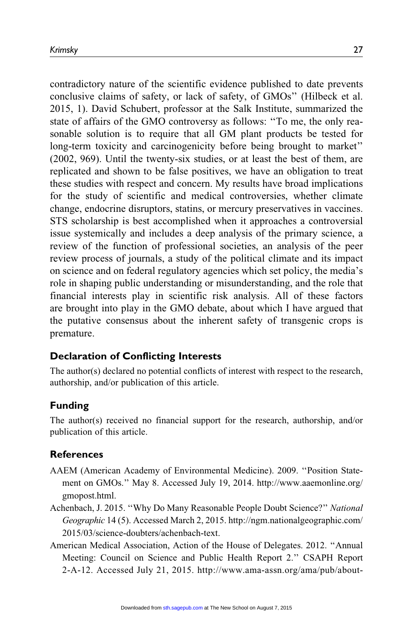contradictory nature of the scientific evidence published to date prevents conclusive claims of safety, or lack of safety, of GMOs'' (Hilbeck et al. 2015, 1). David Schubert, professor at the Salk Institute, summarized the state of affairs of the GMO controversy as follows: ''To me, the only reasonable solution is to require that all GM plant products be tested for long-term toxicity and carcinogenicity before being brought to market" (2002, 969). Until the twenty-six studies, or at least the best of them, are replicated and shown to be false positives, we have an obligation to treat these studies with respect and concern. My results have broad implications for the study of scientific and medical controversies, whether climate change, endocrine disruptors, statins, or mercury preservatives in vaccines. STS scholarship is best accomplished when it approaches a controversial issue systemically and includes a deep analysis of the primary science, a review of the function of professional societies, an analysis of the peer review process of journals, a study of the political climate and its impact on science and on federal regulatory agencies which set policy, the media's role in shaping public understanding or misunderstanding, and the role that financial interests play in scientific risk analysis. All of these factors are brought into play in the GMO debate, about which I have argued that the putative consensus about the inherent safety of transgenic crops is premature.

## Declaration of Conflicting Interests

The author(s) declared no potential conflicts of interest with respect to the research, authorship, and/or publication of this article.

## Funding

The author(s) received no financial support for the research, authorship, and/or publication of this article.

### References

- AAEM (American Academy of Environmental Medicine). 2009. ''Position Statement on GMOs.'' May 8. Accessed July 19, 2014. [http://www.aaemonline.org/](http://www.aaemonline.org/gmopost.html) [gmopost.html](http://www.aaemonline.org/gmopost.html).
- Achenbach, J. 2015. ''Why Do Many Reasonable People Doubt Science?'' National Geographic 14 (5). Accessed March 2, 2015. [http://ngm.nationalgeographic.com/](http://ngm.nationalgeographic.com/2015/03/science-doubters/achenbach-text) [2015/03/science-doubters/achenbach-text](http://ngm.nationalgeographic.com/2015/03/science-doubters/achenbach-text).
- American Medical Association, Action of the House of Delegates. 2012. ''Annual Meeting: Council on Science and Public Health Report 2.'' CSAPH Report 2-A-12. Accessed July 21, 2015. [http://www.ama-assn.org/ama/pub/about-](http://www.ama-assn.org/ama/pub/about-ama/our-people/ama-councils/council-science-public-health/reports/2012-reports.page)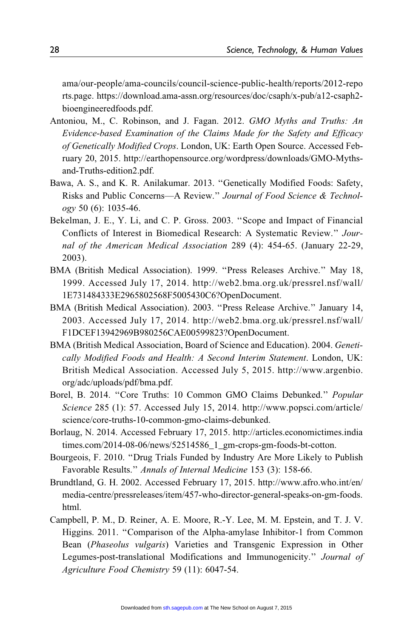[ama/our-people/ama-councils/council-science-public-health/reports/2012-repo](http://www.ama-assn.org/ama/pub/about-ama/our-people/ama-councils/council-science-public-health/reports/2012-reports.page) [rts.page.](http://www.ama-assn.org/ama/pub/about-ama/our-people/ama-councils/council-science-public-health/reports/2012-reports.page) [https://download.ama-assn.org/resources/doc/csaph/x-pub/a12-csaph2](https://download.ama-assn.org/resources/doc/csaph/x-pub/a12-csaph2-bioengineeredfoods.pdf) [bioengineeredfoods.pdf.](https://download.ama-assn.org/resources/doc/csaph/x-pub/a12-csaph2-bioengineeredfoods.pdf)

- Antoniou, M., C. Robinson, and J. Fagan. 2012. GMO Myths and Truths: An Evidence-based Examination of the Claims Made for the Safety and Efficacy of Genetically Modified Crops. London, UK: Earth Open Source. Accessed February 20, 2015. [http://earthopensource.org/wordpress/downloads/GMO-Myths](http://earthopensource.org/wordpress/downloads/GMO-Myths-and-Truths-edition2.pdf)[and-Truths-edition2.pdf.](http://earthopensource.org/wordpress/downloads/GMO-Myths-and-Truths-edition2.pdf)
- Bawa, A. S., and K. R. Anilakumar. 2013. ''Genetically Modified Foods: Safety, Risks and Public Concerns—A Review.'' Journal of Food Science & Technology 50 (6): 1035-46.
- Bekelman, J. E., Y. Li, and C. P. Gross. 2003. ''Scope and Impact of Financial Conflicts of Interest in Biomedical Research: A Systematic Review.'' Journal of the American Medical Association 289 (4): 454-65. (January 22-29, 2003).
- BMA (British Medical Association). 1999. ''Press Releases Archive.'' May 18, 1999. Accessed July 17, 2014. [http://web2.bma.org.uk/pressrel.nsf/wall/](http://web2.bma.org.uk/pressrel.nsf/wall/1E731484333E2965802568F5005430C6?OpenDocument) [1E731484333E2965802568F5005430C6?OpenDocument](http://web2.bma.org.uk/pressrel.nsf/wall/1E731484333E2965802568F5005430C6?OpenDocument).
- BMA (British Medical Association). 2003. ''Press Release Archive.'' January 14, 2003. Accessed July 17, 2014. [http://web2.bma.org.uk/pressrel.nsf/wall/](http://web2.bma.org.uk/pressrel.nsf/wall/F1DCEF13942969B980256CAE00599823?OpenDocument) [F1DCEF13942969B980256CAE00599823?OpenDocument.](http://web2.bma.org.uk/pressrel.nsf/wall/F1DCEF13942969B980256CAE00599823?OpenDocument)
- BMA (British Medical Association, Board of Science and Education). 2004. Genetically Modified Foods and Health: A Second Interim Statement. London, UK: British Medical Association. Accessed July 5, 2015. [http://www.argenbio.](http://www.argenbio.org/adc/uploads/pdf/bma.pdf) [org/adc/uploads/pdf/bma.pdf.](http://www.argenbio.org/adc/uploads/pdf/bma.pdf)
- Borel, B. 2014. ''Core Truths: 10 Common GMO Claims Debunked.'' Popular Science 285 (1): 57. Accessed July 15, 2014. [http://www.popsci.com/article/](http://www.popsci.com/article/science/core-truths-10-common-gmo-claims-debunked) [science/core-truths-10-common-gmo-claims-debunked.](http://www.popsci.com/article/science/core-truths-10-common-gmo-claims-debunked)
- Borlaug, N. 2014. Accessed February 17, 2015. [http://articles.economictimes.india](http://articles.economictimes.indiatimes.com/2014-08-06/news/52514586_1_gm-crops-gm-foods-bt-cotton) [times.com/2014-08-06/news/52514586\\_1\\_gm-crops-gm-foods-bt-cotton.](http://articles.economictimes.indiatimes.com/2014-08-06/news/52514586_1_gm-crops-gm-foods-bt-cotton)
- Bourgeois, F. 2010. ''Drug Trials Funded by Industry Are More Likely to Publish Favorable Results.'' Annals of Internal Medicine 153 (3): 158-66.
- Brundtland, G. H. 2002. Accessed February 17, 2015. [http://www.afro.who.int/en/](http://www.afro.who.int/en/media-centre/pressreleases/item/457-who-director-general-speaks-on-gm-foods.html) [media-centre/pressreleases/item/457-who-director-general-speaks-on-gm-foods.](http://www.afro.who.int/en/media-centre/pressreleases/item/457-who-director-general-speaks-on-gm-foods.html) [html.](http://www.afro.who.int/en/media-centre/pressreleases/item/457-who-director-general-speaks-on-gm-foods.html)
- Campbell, P. M., D. Reiner, A. E. Moore, R.-Y. Lee, M. M. Epstein, and T. J. V. Higgins. 2011. "Comparison of the Alpha-amylase Inhibitor-1 from Common Bean (Phaseolus vulgaris) Varieties and Transgenic Expression in Other Legumes-post-translational Modifications and Immunogenicity.'' Journal of Agriculture Food Chemistry 59 (11): 6047-54.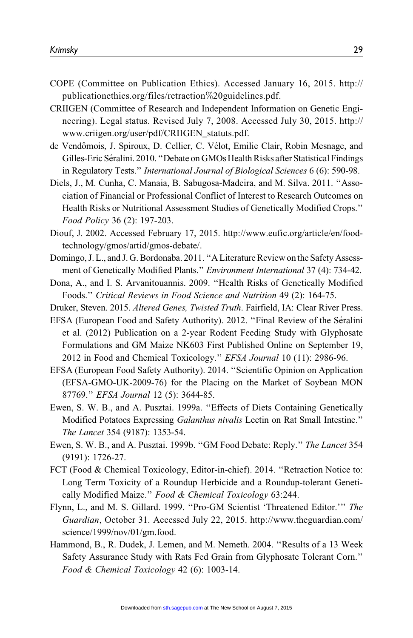- COPE (Committee on Publication Ethics). Accessed January 16, 2015. [http://](http://publicationethics.org/files/retraction%20guidelines.pdf) [publicationethics.org/files/retraction](http://publicationethics.org/files/retraction%20guidelines.pdf)%[20guidelines.pdf](http://publicationethics.org/files/retraction%20guidelines.pdf).
- CRIIGEN (Committee of Research and Independent Information on Genetic Engineering). Legal status. Revised July 7, 2008. Accessed July 30, 2015. [http://](http://www.criigen.org/user/pdf/CRIIGEN_statuts.pdf) [www.criigen.org/user/pdf/CRIIGEN\\_statuts.pdf.](http://www.criigen.org/user/pdf/CRIIGEN_statuts.pdf)
- de Vendômois, J. Spiroux, D. Cellier, C. Vélot, Emilie Clair, Robin Mesnage, and Gilles-Eric Séralini. 2010. "Debate on GMOs Health Risks after Statistical Findings in Regulatory Tests.'' International Journal of Biological Sciences 6 (6): 590-98.
- Diels, J., M. Cunha, C. Manaia, B. Sabugosa-Madeira, and M. Silva. 2011. ''Association of Financial or Professional Conflict of Interest to Research Outcomes on Health Risks or Nutritional Assessment Studies of Genetically Modified Crops.'' Food Policy 36 (2): 197-203.
- Diouf, J. 2002. Accessed February 17, 2015. [http://www.eufic.org/article/en/food](http://www.eufic.org/article/en/food-technology/gmos/artid/gmos-debate/)[technology/gmos/artid/gmos-debate/.](http://www.eufic.org/article/en/food-technology/gmos/artid/gmos-debate/)
- Domingo, J. L., and J. G. Bordonaba. 2011. ''A Literature Review on the Safety Assessment of Genetically Modified Plants.'' Environment International 37 (4): 734-42.
- Dona, A., and I. S. Arvanitouannis. 2009. ''Health Risks of Genetically Modified Foods.'' Critical Reviews in Food Science and Nutrition 49 (2): 164-75.
- Druker, Steven. 2015. Altered Genes, Twisted Truth. Fairfield, IA: Clear River Press.
- EFSA (European Food and Safety Authority). 2012. "Final Review of the Séralini et al. (2012) Publication on a 2-year Rodent Feeding Study with Glyphosate Formulations and GM Maize NK603 First Published Online on September 19, 2012 in Food and Chemical Toxicology.'' EFSA Journal 10 (11): 2986-96.
- EFSA (European Food Safety Authority). 2014. ''Scientific Opinion on Application (EFSA-GMO-UK-2009-76) for the Placing on the Market of Soybean MON 87769.'' EFSA Journal 12 (5): 3644-85.
- Ewen, S. W. B., and A. Pusztai. 1999a. ''Effects of Diets Containing Genetically Modified Potatoes Expressing Galanthus nivalis Lectin on Rat Small Intestine.'' The Lancet 354 (9187): 1353-54.
- Ewen, S. W. B., and A. Pusztai. 1999b. ''GM Food Debate: Reply.'' The Lancet 354 (9191): 1726-27.
- FCT (Food & Chemical Toxicology, Editor-in-chief). 2014. ''Retraction Notice to: Long Term Toxicity of a Roundup Herbicide and a Roundup-tolerant Genetically Modified Maize." Food & Chemical Toxicology 63:244.
- Flynn, L., and M. S. Gillard. 1999. ''Pro-GM Scientist 'Threatened Editor.''' The Guardian, October 31. Accessed July 22, 2015. [http://www.theguardian.com/](http://www.theguardian.com/science/1999/nov/01/gm.food) [science/1999/nov/01/gm.food.](http://www.theguardian.com/science/1999/nov/01/gm.food)
- Hammond, B., R. Dudek, J. Lemen, and M. Nemeth. 2004. ''Results of a 13 Week Safety Assurance Study with Rats Fed Grain from Glyphosate Tolerant Corn.'' Food & Chemical Toxicology 42 (6): 1003-14.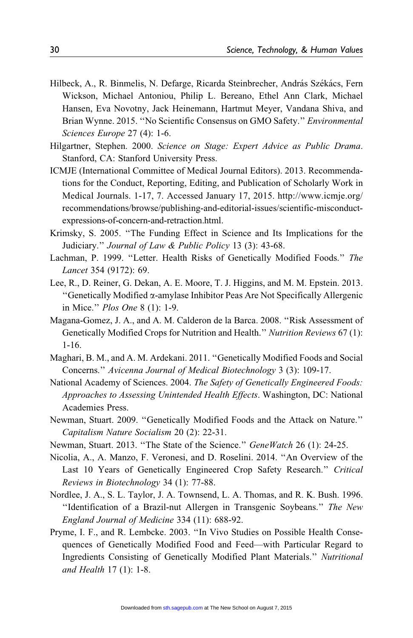- Hilbeck, A., R. Binmelis, N. Defarge, Ricarda Steinbrecher, András Székács, Fern Wickson, Michael Antoniou, Philip L. Bereano, Ethel Ann Clark, Michael Hansen, Eva Novotny, Jack Heinemann, Hartmut Meyer, Vandana Shiva, and Brian Wynne. 2015. "No Scientific Consensus on GMO Safety." Environmental Sciences Europe 27 (4): 1-6.
- Hilgartner, Stephen. 2000. Science on Stage: Expert Advice as Public Drama. Stanford, CA: Stanford University Press.
- ICMJE (International Committee of Medical Journal Editors). 2013. Recommendations for the Conduct, Reporting, Editing, and Publication of Scholarly Work in Medical Journals. 1-17, 7. Accessed January 17, 2015. [http://www.icmje.org/](http://www.icmje.org/recommendations/browse/publishing-and-editorial-issues/scientific-misconduct-expressions-of-concern-and-retraction.html) [recommendations/browse/publishing-and-editorial-issues/scientific-misconduct](http://www.icmje.org/recommendations/browse/publishing-and-editorial-issues/scientific-misconduct-expressions-of-concern-and-retraction.html)[expressions-of-concern-and-retraction.html](http://www.icmje.org/recommendations/browse/publishing-and-editorial-issues/scientific-misconduct-expressions-of-concern-and-retraction.html).
- Krimsky, S. 2005. ''The Funding Effect in Science and Its Implications for the Judiciary.'' Journal of Law & Public Policy 13 (3): 43-68.
- Lachman, P. 1999. ''Letter. Health Risks of Genetically Modified Foods.'' The Lancet 354 (9172): 69.
- Lee, R., D. Reiner, G. Dekan, A. E. Moore, T. J. Higgins, and M. M. Epstein. 2013. ''Genetically Modified a-amylase Inhibitor Peas Are Not Specifically Allergenic in Mice.'' Plos One 8 (1): 1-9.
- Magana-Gomez, J. A., and A. M. Calderon de la Barca. 2008. ''Risk Assessment of Genetically Modified Crops for Nutrition and Health.'' Nutrition Reviews 67 (1): 1-16.
- Maghari, B. M., and A. M. Ardekani. 2011. ''Genetically Modified Foods and Social Concerns.'' Avicenna Journal of Medical Biotechnology 3 (3): 109-17.
- National Academy of Sciences. 2004. The Safety of Genetically Engineered Foods: Approaches to Assessing Unintended Health Effects. Washington, DC: National Academies Press.
- Newman, Stuart. 2009. ''Genetically Modified Foods and the Attack on Nature.'' Capitalism Nature Socialism 20 (2): 22-31.
- Newman, Stuart. 2013. ''The State of the Science.'' GeneWatch 26 (1): 24-25.
- Nicolia, A., A. Manzo, F. Veronesi, and D. Roselini. 2014. ''An Overview of the Last 10 Years of Genetically Engineered Crop Safety Research.'' Critical Reviews in Biotechnology 34 (1): 77-88.
- Nordlee, J. A., S. L. Taylor, J. A. Townsend, L. A. Thomas, and R. K. Bush. 1996. ''Identification of a Brazil-nut Allergen in Transgenic Soybeans.'' The New England Journal of Medicine 334 (11): 688-92.
- Pryme, I. F., and R. Lembcke. 2003. ''In Vivo Studies on Possible Health Consequences of Genetically Modified Food and Feed—with Particular Regard to Ingredients Consisting of Genetically Modified Plant Materials.'' Nutritional and Health 17 (1): 1-8.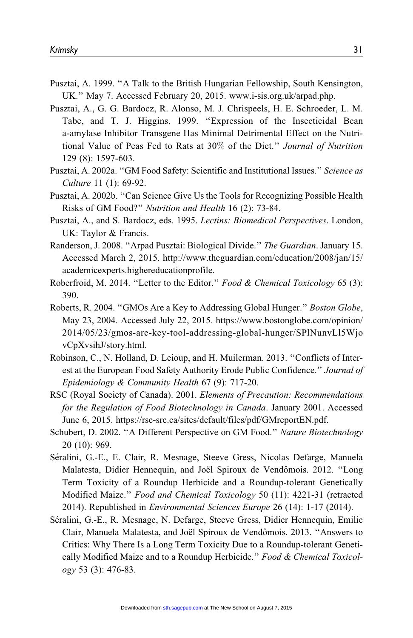- Pusztai, A. 1999. ''A Talk to the British Hungarian Fellowship, South Kensington, UK.'' May 7. Accessed February 20, 2015. [www.i-sis.org.uk/arpad.php.](http://www.i-sis.org.uk/arpad.php)
- Pusztai, A., G. G. Bardocz, R. Alonso, M. J. Chrispeels, H. E. Schroeder, L. M. Tabe, and T. J. Higgins. 1999. "Expression of the Insecticidal Bean a-amylase Inhibitor Transgene Has Minimal Detrimental Effect on the Nutritional Value of Peas Fed to Rats at 30% of the Diet.'' Journal of Nutrition 129 (8): 1597-603.
- Pusztai, A. 2002a. ''GM Food Safety: Scientific and Institutional Issues.'' Science as Culture 11 (1): 69-92.
- Pusztai, A. 2002b. ''Can Science Give Us the Tools for Recognizing Possible Health Risks of GM Food?'' Nutrition and Health 16 (2): 73-84.
- Pusztai, A., and S. Bardocz, eds. 1995. Lectins: Biomedical Perspectives. London, UK: Taylor & Francis.
- Randerson, J. 2008. ''Arpad Pusztai: Biological Divide.'' The Guardian. January 15. Accessed March 2, 2015. [http://www.theguardian.com/education/2008/jan/15/](http://www.theguardian.com/education/2008/jan/15/academicexperts.highereducationprofile) [academicexperts.highereducationprofile.](http://www.theguardian.com/education/2008/jan/15/academicexperts.highereducationprofile)
- Roberfroid, M. 2014. "Letter to the Editor." Food & Chemical Toxicology 65 (3): 390.
- Roberts, R. 2004. ''GMOs Are a Key to Addressing Global Hunger.'' Boston Globe, May 23, 2004. Accessed July 22, 2015. [https://www.bostonglobe.com/opinion/](https://www.bostonglobe.com/opinion/2014/05/23/gmos-are-key-tool-addressing-global-hunger/SPlNunvLl5WjovCpXvsihJ/story.html) [2014/05/23/gmos-are-key-tool-addressing-global-hunger/SPlNunvLl5Wjo](https://www.bostonglobe.com/opinion/2014/05/23/gmos-are-key-tool-addressing-global-hunger/SPlNunvLl5WjovCpXvsihJ/story.html) [vCpXvsihJ/story.html.](https://www.bostonglobe.com/opinion/2014/05/23/gmos-are-key-tool-addressing-global-hunger/SPlNunvLl5WjovCpXvsihJ/story.html)
- Robinson, C., N. Holland, D. Leioup, and H. Muilerman. 2013. ''Conflicts of Interest at the European Food Safety Authority Erode Public Confidence.'' Journal of Epidemiology & Community Health 67 (9): 717-20.
- RSC (Royal Society of Canada). 2001. Elements of Precaution: Recommendations for the Regulation of Food Biotechnology in Canada. January 2001. Accessed June 6, 2015. [https://rsc-src.ca/sites/default/files/pdf/GMreportEN.pdf.](https://rsc-src.ca/sites/default/files/pdf/GMreportEN.pdf)
- Schubert, D. 2002. ''A Different Perspective on GM Food.'' Nature Biotechnology 20 (10): 969.
- Séralini, G.-E., E. Clair, R. Mesnage, Steeve Gress, Nicolas Defarge, Manuela Malatesta, Didier Hennequin, and Joël Spiroux de Vendômois. 2012. "Long Term Toxicity of a Roundup Herbicide and a Roundup-tolerant Genetically Modified Maize.'' Food and Chemical Toxicology 50 (11): 4221-31 (retracted 2014). Republished in Environmental Sciences Europe 26 (14): 1-17 (2014).
- Séralini, G.-E., R. Mesnage, N. Defarge, Steeve Gress, Didier Hennequin, Emilie Clair, Manuela Malatesta, and Joël Spiroux de Vendômois. 2013. "Answers to Critics: Why There Is a Long Term Toxicity Due to a Roundup-tolerant Genetically Modified Maize and to a Roundup Herbicide." Food & Chemical Toxicology 53 (3): 476-83.